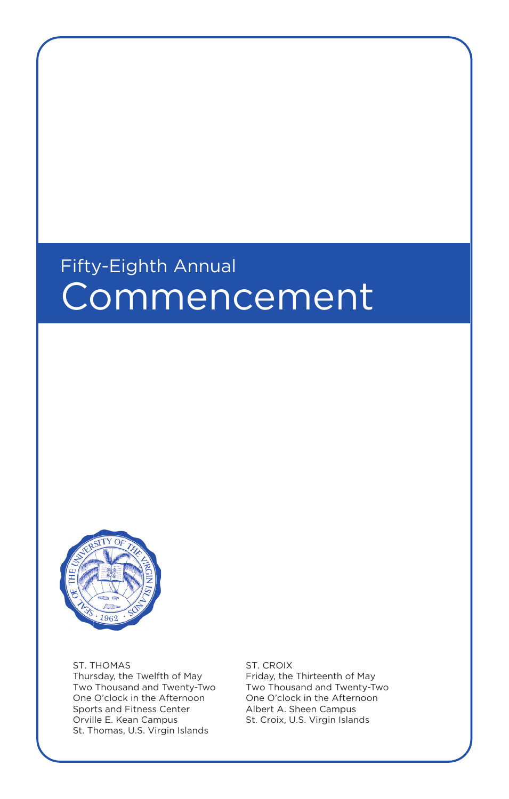# Fifty-Eighth Annual **Commencement**



ST. THOMAS Thursday, the Twelfth of May Two Thousand and Twenty-Two One O'clock in the Afternoon Sports and Fitness Center Orville E. Kean Campus St. Thomas, U.S. Virgin Islands

ST. CROIX

Friday, the Thirteenth of May Two Thousand and Twenty-Two One O'clock in the Afternoon Albert A. Sheen Campus St. Croix, U.S. Virgin Islands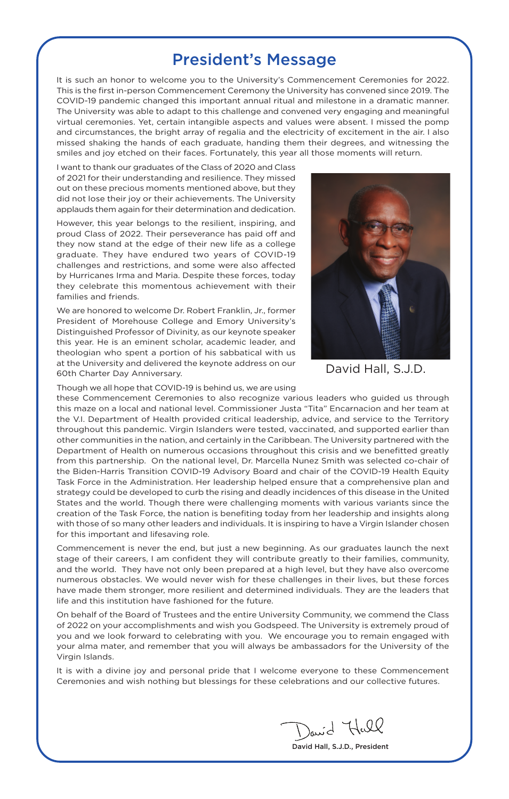### President's Message

It is such an honor to welcome you to the University's Commencement Ceremonies for 2022. This is the first in-person Commencement Ceremony the University has convened since 2019. The COVID-19 pandemic changed this important annual ritual and milestone in a dramatic manner. The University was able to adapt to this challenge and convened very engaging and meaningful virtual ceremonies. Yet, certain intangible aspects and values were absent. I missed the pomp and circumstances, the bright array of regalia and the electricity of excitement in the air. I also missed shaking the hands of each graduate, handing them their degrees, and witnessing the smiles and joy etched on their faces. Fortunately, this year all those moments will return.

I want to thank our graduates of the Class of 2020 and Class of 2021 for their understanding and resilience. They missed out on these precious moments mentioned above, but they did not lose their joy or their achievements. The University applauds them again for their determination and dedication.

However, this year belongs to the resilient, inspiring, and proud Class of 2022. Their perseverance has paid off and they now stand at the edge of their new life as a college graduate. They have endured two years of COVID-19 challenges and restrictions, and some were also affected by Hurricanes Irma and Maria. Despite these forces, today they celebrate this momentous achievement with their families and friends.

We are honored to welcome Dr. Robert Franklin, Jr., former President of Morehouse College and Emory University's Distinguished Professor of Divinity, as our keynote speaker this year. He is an eminent scholar, academic leader, and theologian who spent a portion of his sabbatical with us at the University and delivered the keynote address on our 60th Charter Day Anniversary.



David Hall, S.J.D.

Though we all hope that COVID-19 is behind us, we are using

these Commencement Ceremonies to also recognize various leaders who guided us through this maze on a local and national level. Commissioner Justa "Tita" Encarnacion and her team at the V.I. Department of Health provided critical leadership, advice, and service to the Territory throughout this pandemic. Virgin Islanders were tested, vaccinated, and supported earlier than other communities in the nation, and certainly in the Caribbean. The University partnered with the Department of Health on numerous occasions throughout this crisis and we benefitted greatly from this partnership. On the national level, Dr. Marcella Nunez Smith was selected co-chair of the Biden-Harris Transition COVID-19 Advisory Board and chair of the COVID-19 Health Equity Task Force in the Administration. Her leadership helped ensure that a comprehensive plan and strategy could be developed to curb the rising and deadly incidences of this disease in the United States and the world. Though there were challenging moments with various variants since the creation of the Task Force, the nation is benefiting today from her leadership and insights along with those of so many other leaders and individuals. It is inspiring to have a Virgin Islander chosen for this important and lifesaving role.

Commencement is never the end, but just a new beginning. As our graduates launch the next stage of their careers, I am confident they will contribute greatly to their families, community, and the world. They have not only been prepared at a high level, but they have also overcome numerous obstacles. We would never wish for these challenges in their lives, but these forces have made them stronger, more resilient and determined individuals. They are the leaders that life and this institution have fashioned for the future.

On behalf of the Board of Trustees and the entire University Community, we commend the Class of 2022 on your accomplishments and wish you Godspeed. The University is extremely proud of you and we look forward to celebrating with you. We encourage you to remain engaged with your alma mater, and remember that you will always be ambassadors for the University of the Virgin Islands.

It is with a divine joy and personal pride that I welcome everyone to these Commencement Ceremonies and wish nothing but blessings for these celebrations and our collective futures.

David Hall

David Hall, S.J.D., President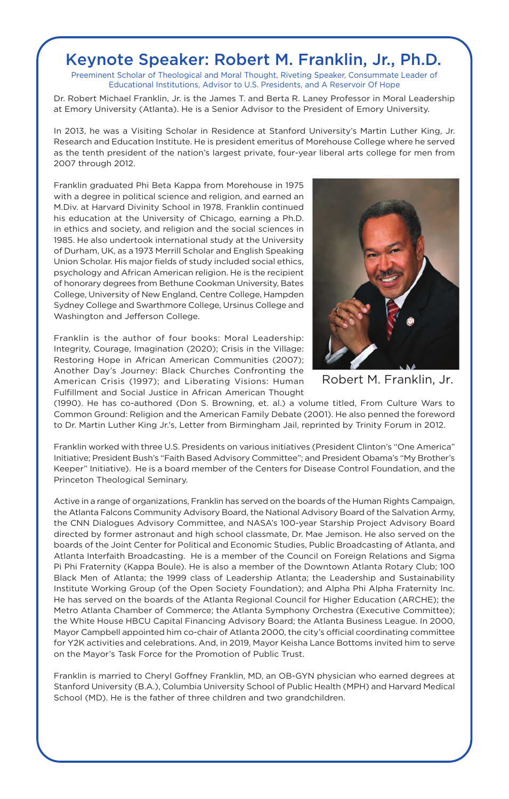### Keynote Speaker: Robert M. Franklin, Jr., Ph.D.

Preeminent Scholar of Theological and Moral Thought, Riveting Speaker, Consummate Leader of Educational Institutions, Advisor to U.S. Presidents, and A Reservoir Of Hope

Dr. Robert Michael Franklin, Jr. is the James T. and Berta R. Laney Professor in Moral Leadership at Emory University (Atlanta). He is a Senior Advisor to the President of Emory University.

In 2013, he was a Visiting Scholar in Residence at Stanford University's Martin Luther King, Jr. Research and Education Institute. He is president emeritus of Morehouse College where he served as the tenth president of the nation's largest private, four-year liberal arts college for men from 2007 through 2012.

Franklin graduated Phi Beta Kappa from Morehouse in 1975 with a degree in political science and religion, and earned an M.Div. at Harvard Divinity School in 1978. Franklin continued his education at the University of Chicago, earning a Ph.D. in ethics and society, and religion and the social sciences in 1985. He also undertook international study at the University of Durham, UK, as a 1973 Merrill Scholar and English Speaking Union Scholar. His major fields of study included social ethics, psychology and African American religion. He is the recipient of honorary degrees from Bethune Cookman University, Bates College, University of New England, Centre College, Hampden Sydney College and Swarthmore College, Ursinus College and Washington and Jefferson College.

Franklin is the author of four books: Moral Leadership: Integrity, Courage, Imagination (2020); Crisis in the Village: Restoring Hope in African American Communities (2007); Another Day's Journey: Black Churches Confronting the American Crisis (1997); and Liberating Visions: Human Fulfillment and Social Justice in African American Thought



Robert M. Franklin, Jr.

(1990). He has co-authored (Don S. Browning, et. al.) a volume titled, From Culture Wars to Common Ground: Religion and the American Family Debate (2001). He also penned the foreword to Dr. Martin Luther King Jr.'s, Letter from Birmingham Jail, reprinted by Trinity Forum in 2012.

Franklin worked with three U.S. Presidents on various initiatives (President Clinton's "One America" Initiative; President Bush's "Faith Based Advisory Committee"; and President Obama's "My Brother's Keeper" Initiative). He is a board member of the Centers for Disease Control Foundation, and the Princeton Theological Seminary.

Active in a range of organizations, Franklin has served on the boards of the Human Rights Campaign, the Atlanta Falcons Community Advisory Board, the National Advisory Board of the Salvation Army, the CNN Dialogues Advisory Committee, and NASA's 100-year Starship Project Advisory Board directed by former astronaut and high school classmate, Dr. Mae Jemison. He also served on the boards of the Joint Center for Political and Economic Studies, Public Broadcasting of Atlanta, and Atlanta Interfaith Broadcasting. He is a member of the Council on Foreign Relations and Sigma Pi Phi Fraternity (Kappa Boule). He is also a member of the Downtown Atlanta Rotary Club; 100 Black Men of Atlanta; the 1999 class of Leadership Atlanta; the Leadership and Sustainability Institute Working Group (of the Open Society Foundation); and Alpha Phi Alpha Fraternity Inc. He has served on the boards of the Atlanta Regional Council for Higher Education (ARCHE); the Metro Atlanta Chamber of Commerce; the Atlanta Symphony Orchestra (Executive Committee); the White House HBCU Capital Financing Advisory Board; the Atlanta Business League. In 2000, Mayor Campbell appointed him co-chair of Atlanta 2000, the city's official coordinating committee for Y2K activities and celebrations. And, in 2019, Mayor Keisha Lance Bottoms invited him to serve on the Mayor's Task Force for the Promotion of Public Trust.

Franklin is married to Cheryl Goffney Franklin, MD, an OB-GYN physician who earned degrees at Stanford University (B.A.), Columbia University School of Public Health (MPH) and Harvard Medical School (MD). He is the father of three children and two grandchildren.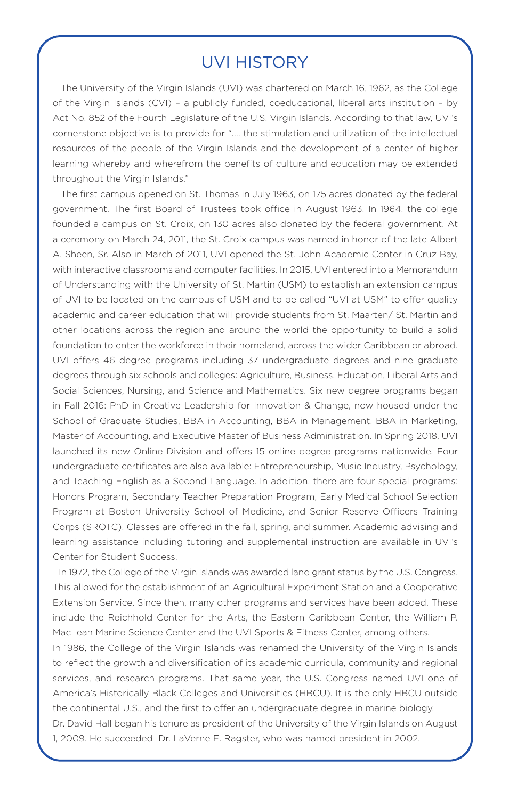### UVI HISTORY

 The University of the Virgin Islands (UVI) was chartered on March 16, 1962, as the College of the Virgin Islands (CVI) – a publicly funded, coeducational, liberal arts institution – by Act No. 852 of the Fourth Legislature of the U.S. Virgin Islands. According to that law, UVI's cornerstone objective is to provide for ".... the stimulation and utilization of the intellectual resources of the people of the Virgin Islands and the development of a center of higher learning whereby and wherefrom the benefits of culture and education may be extended throughout the Virgin Islands."

 The first campus opened on St. Thomas in July 1963, on 175 acres donated by the federal government. The first Board of Trustees took office in August 1963. In 1964, the college founded a campus on St. Croix, on 130 acres also donated by the federal government. At a ceremony on March 24, 2011, the St. Croix campus was named in honor of the late Albert A. Sheen, Sr. Also in March of 2011, UVI opened the St. John Academic Center in Cruz Bay, with interactive classrooms and computer facilities. In 2015, UVI entered into a Memorandum of Understanding with the University of St. Martin (USM) to establish an extension campus of UVI to be located on the campus of USM and to be called "UVI at USM" to offer quality academic and career education that will provide students from St. Maarten/ St. Martin and other locations across the region and around the world the opportunity to build a solid foundation to enter the workforce in their homeland, across the wider Caribbean or abroad. UVI offers 46 degree programs including 37 undergraduate degrees and nine graduate degrees through six schools and colleges: Agriculture, Business, Education, Liberal Arts and Social Sciences, Nursing, and Science and Mathematics. Six new degree programs began in Fall 2016: PhD in Creative Leadership for Innovation & Change, now housed under the School of Graduate Studies, BBA in Accounting, BBA in Management, BBA in Marketing, Master of Accounting, and Executive Master of Business Administration. In Spring 2018, UVI launched its new Online Division and offers 15 online degree programs nationwide. Four undergraduate certificates are also available: Entrepreneurship, Music Industry, Psychology, and Teaching English as a Second Language. In addition, there are four special programs: Honors Program, Secondary Teacher Preparation Program, Early Medical School Selection Program at Boston University School of Medicine, and Senior Reserve Officers Training Corps (SROTC). Classes are offered in the fall, spring, and summer. Academic advising and learning assistance including tutoring and supplemental instruction are available in UVI's Center for Student Success.

 In 1972, the College of the Virgin Islands was awarded land grant status by the U.S. Congress. This allowed for the establishment of an Agricultural Experiment Station and a Cooperative Extension Service. Since then, many other programs and services have been added. These include the Reichhold Center for the Arts, the Eastern Caribbean Center, the William P. MacLean Marine Science Center and the UVI Sports & Fitness Center, among others.

In 1986, the College of the Virgin Islands was renamed the University of the Virgin Islands to reflect the growth and diversification of its academic curricula, community and regional services, and research programs. That same year, the U.S. Congress named UVI one of America's Historically Black Colleges and Universities (HBCU). It is the only HBCU outside the continental U.S., and the first to offer an undergraduate degree in marine biology.

Dr. David Hall began his tenure as president of the University of the Virgin Islands on August 1, 2009. He succeeded Dr. LaVerne E. Ragster, who was named president in 2002.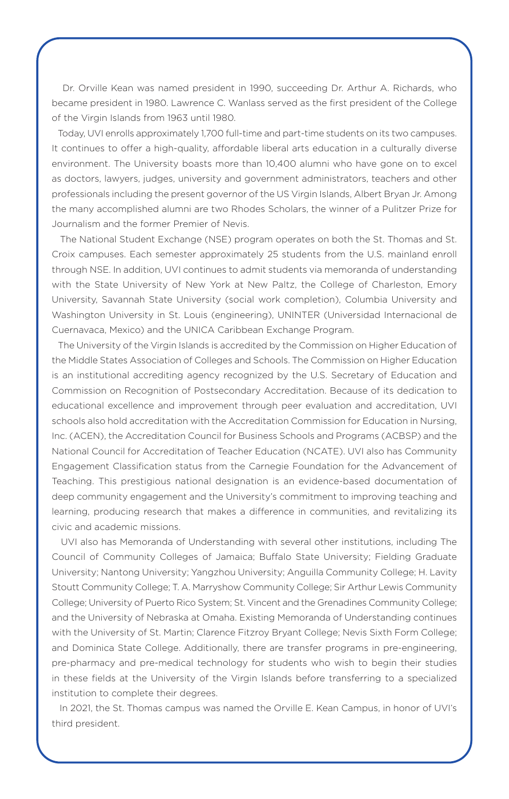Dr. Orville Kean was named president in 1990, succeeding Dr. Arthur A. Richards, who became president in 1980. Lawrence C. Wanlass served as the first president of the College of the Virgin Islands from 1963 until 1980.

 Today, UVI enrolls approximately 1,700 full-time and part-time students on its two campuses. It continues to offer a high-quality, affordable liberal arts education in a culturally diverse environment. The University boasts more than 10,400 alumni who have gone on to excel as doctors, lawyers, judges, university and government administrators, teachers and other professionals including the present governor of the US Virgin Islands, Albert Bryan Jr. Among the many accomplished alumni are two Rhodes Scholars, the winner of a Pulitzer Prize for Journalism and the former Premier of Nevis.

 The National Student Exchange (NSE) program operates on both the St. Thomas and St. Croix campuses. Each semester approximately 25 students from the U.S. mainland enroll through NSE. In addition, UVI continues to admit students via memoranda of understanding with the State University of New York at New Paltz, the College of Charleston, Emory University, Savannah State University (social work completion), Columbia University and Washington University in St. Louis (engineering), UNINTER (Universidad Internacional de Cuernavaca, Mexico) and the UNICA Caribbean Exchange Program.

 The University of the Virgin Islands is accredited by the Commission on Higher Education of the Middle States Association of Colleges and Schools. The Commission on Higher Education is an institutional accrediting agency recognized by the U.S. Secretary of Education and Commission on Recognition of Postsecondary Accreditation. Because of its dedication to educational excellence and improvement through peer evaluation and accreditation, UVI schools also hold accreditation with the Accreditation Commission for Education in Nursing, Inc. (ACEN), the Accreditation Council for Business Schools and Programs (ACBSP) and the National Council for Accreditation of Teacher Education (NCATE). UVI also has Community Engagement Classification status from the Carnegie Foundation for the Advancement of Teaching. This prestigious national designation is an evidence-based documentation of deep community engagement and the University's commitment to improving teaching and learning, producing research that makes a difference in communities, and revitalizing its civic and academic missions.

 UVI also has Memoranda of Understanding with several other institutions, including The Council of Community Colleges of Jamaica; Buffalo State University; Fielding Graduate University; Nantong University; Yangzhou University; Anguilla Community College; H. Lavity Stoutt Community College; T. A. Marryshow Community College; Sir Arthur Lewis Community College; University of Puerto Rico System; St. Vincent and the Grenadines Community College; and the University of Nebraska at Omaha. Existing Memoranda of Understanding continues with the University of St. Martin; Clarence Fitzroy Bryant College; Nevis Sixth Form College; and Dominica State College. Additionally, there are transfer programs in pre-engineering, pre-pharmacy and pre-medical technology for students who wish to begin their studies in these fields at the University of the Virgin Islands before transferring to a specialized institution to complete their degrees.

 In 2021, the St. Thomas campus was named the Orville E. Kean Campus, in honor of UVI's third president.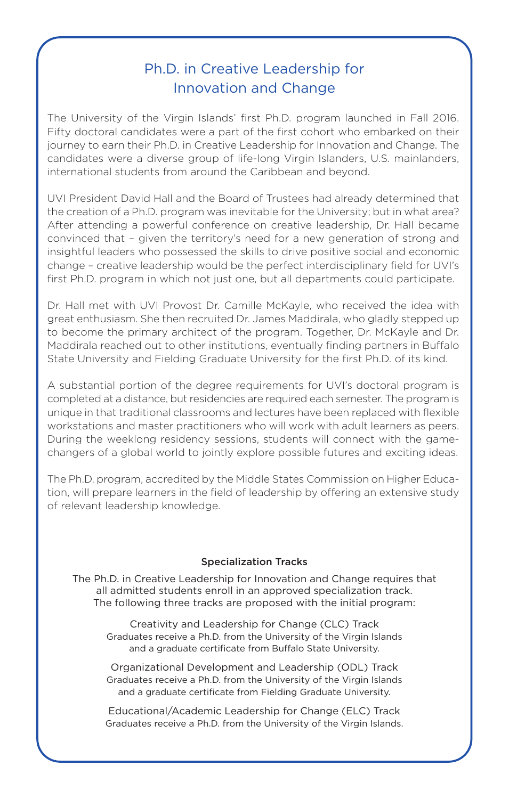### Ph.D. in Creative Leadership for Innovation and Change

The University of the Virgin Islands' first Ph.D. program launched in Fall 2016. Fifty doctoral candidates were a part of the first cohort who embarked on their journey to earn their Ph.D. in Creative Leadership for Innovation and Change. The candidates were a diverse group of life-long Virgin Islanders, U.S. mainlanders, international students from around the Caribbean and beyond.

UVI President David Hall and the Board of Trustees had already determined that the creation of a Ph.D. program was inevitable for the University; but in what area? After attending a powerful conference on creative leadership, Dr. Hall became convinced that – given the territory's need for a new generation of strong and insightful leaders who possessed the skills to drive positive social and economic change – creative leadership would be the perfect interdisciplinary field for UVI's first Ph.D. program in which not just one, but all departments could participate.

Dr. Hall met with UVI Provost Dr. Camille McKayle, who received the idea with great enthusiasm. She then recruited Dr. James Maddirala, who gladly stepped up to become the primary architect of the program. Together, Dr. McKayle and Dr. Maddirala reached out to other institutions, eventually finding partners in Buffalo State University and Fielding Graduate University for the first Ph.D. of its kind.

A substantial portion of the degree requirements for UVI's doctoral program is completed at a distance, but residencies are required each semester. The program is unique in that traditional classrooms and lectures have been replaced with flexible workstations and master practitioners who will work with adult learners as peers. During the weeklong residency sessions, students will connect with the gamechangers of a global world to jointly explore possible futures and exciting ideas.

The Ph.D. program, accredited by the Middle States Commission on Higher Education, will prepare learners in the field of leadership by offering an extensive study of relevant leadership knowledge.

#### Specialization Tracks

The Ph.D. in Creative Leadership for Innovation and Change requires that all admitted students enroll in an approved specialization track. The following three tracks are proposed with the initial program:

Creativity and Leadership for Change (CLC) Track Graduates receive a Ph.D. from the University of the Virgin Islands and a graduate certificate from Buffalo State University.

Organizational Development and Leadership (ODL) Track Graduates receive a Ph.D. from the University of the Virgin Islands and a graduate certificate from Fielding Graduate University.

Educational/Academic Leadership for Change (ELC) Track Graduates receive a Ph.D. from the University of the Virgin Islands.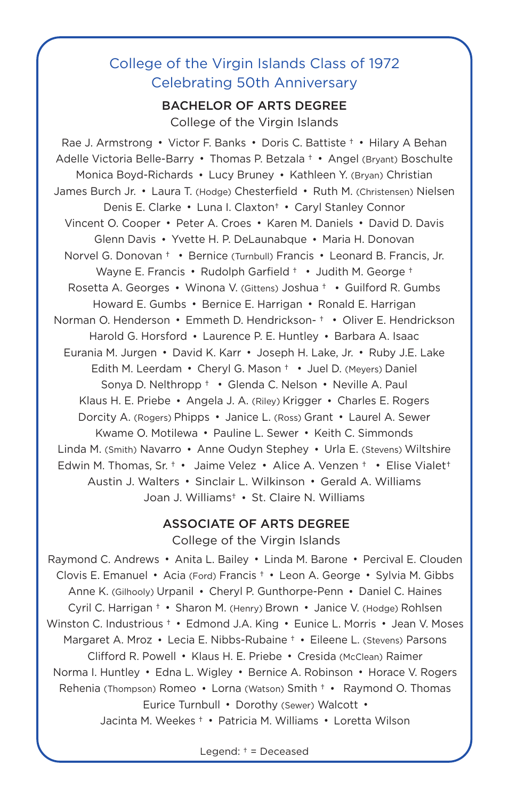### College of the Virgin Islands Class of 1972 Celebrating 50th Anniversary

#### BACHELOR OF ARTS DEGREE

College of the Virgin Islands

Rae J. Armstrong Victor F. Banks Doris C. Battiste † Hilary A Behan Adelle Victoria Belle-Barry Thomas P. Betzala † Angel (Bryant) Boschulte Monica Boyd-Richards Lucy Bruney Kathleen Y. (Bryan) Christian James Burch Jr. Laura T. (Hodge) Chesterfield Ruth M. (Christensen) Nielsen Denis E. Clarke • Luna I. Claxton<sup>†</sup> • Caryl Stanley Connor Vincent O. Cooper • Peter A. Croes • Karen M. Daniels • David D. Davis Glenn Davis Yvette H. P. DeLaunabque Maria H. Donovan Norvel G. Donovan † • Bernice (Turnbull) Francis • Leonard B. Francis, Jr. Wayne E. Francis • Rudolph Garfield † • Judith M. George † Rosetta A. Georges • Winona V. (Gittens) Joshua † • Guilford R. Gumbs Howard E. Gumbs • Bernice E. Harrigan • Ronald E. Harrigan Norman O. Henderson • Emmeth D. Hendrickson-† • Oliver E. Hendrickson Harold G. Horsford • Laurence P. E. Huntley • Barbara A. Isaac Eurania M. Jurgen • David K. Karr • Joseph H. Lake, Jr. • Ruby J.E. Lake Edith M. Leerdam • Cheryl G. Mason † • Juel D. (Meyers) Daniel Sonya D. Nelthropp + • Glenda C. Nelson • Neville A. Paul Klaus H. E. Priebe Angela J. A. (Riley) Krigger Charles E. Rogers Dorcity A. (Rogers) Phipps • Janice L. (Ross) Grant • Laurel A. Sewer Kwame O. Motilewa Pauline L. Sewer Keith C. Simmonds Linda M. (Smith) Navarro • Anne Oudyn Stephey • Urla E. (Stevens) Wiltshire Edwin M. Thomas, Sr. † • Jaime Velez • Alice A. Venzen † • Elise Vialet<sup>†</sup> Austin J. Walters Sinclair L. Wilkinson Gerald A. Williams Joan J. Williams† St. Claire N. Williams

#### ASSOCIATE OF ARTS DEGREE College of the Virgin Islands

Raymond C. Andrews • Anita L. Bailey • Linda M. Barone • Percival E. Clouden Clovis E. Emanuel Acia (Ford) Francis † Leon A. George Sylvia M. Gibbs Anne K. (Gilhooly) Urpanil • Cheryl P. Gunthorpe-Penn • Daniel C. Haines Cyril C. Harrigan <sup>+</sup> • Sharon M. (Henry) Brown • Janice V. (Hodge) Rohlsen Winston C. Industrious † • Edmond J.A. King • Eunice L. Morris • Jean V. Moses Margaret A. Mroz Lecia E. Nibbs-Rubaine † Eileene L. (Stevens) Parsons Clifford R. Powell • Klaus H. E. Priebe • Cresida (McClean) Raimer Norma I. Huntley Edna L. Wigley Bernice A. Robinson Horace V. Rogers Rehenia (Thompson) Romeo Lorna (Watson) Smith † Raymond O. Thomas Eurice Turnbull • Dorothy (Sewer) Walcott • Jacinta M. Weekes † Patricia M. Williams Loretta Wilson

Legend: † = Deceased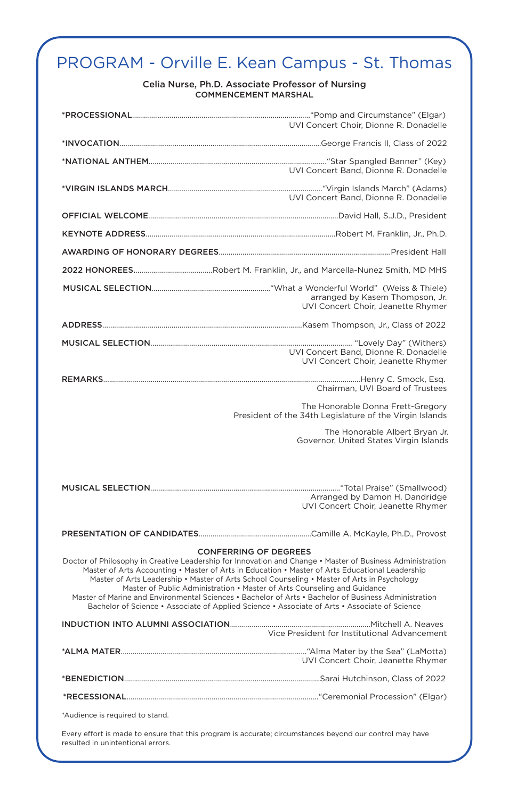## PROGRAM - Orville E. Kean Campus - St. Thomas

#### Celia Nurse, Ph.D. Associate Professor of Nursing COMMENCEMENT MARSHAL

|                                                                                                                                                                                                                                                                                                                                                                                                                                                                                                                                                                                                                                  | UVI Concert Choir, Dionne R. Donadelle                                                       |
|----------------------------------------------------------------------------------------------------------------------------------------------------------------------------------------------------------------------------------------------------------------------------------------------------------------------------------------------------------------------------------------------------------------------------------------------------------------------------------------------------------------------------------------------------------------------------------------------------------------------------------|----------------------------------------------------------------------------------------------|
|                                                                                                                                                                                                                                                                                                                                                                                                                                                                                                                                                                                                                                  |                                                                                              |
|                                                                                                                                                                                                                                                                                                                                                                                                                                                                                                                                                                                                                                  | UVI Concert Band, Dionne R. Donadelle                                                        |
|                                                                                                                                                                                                                                                                                                                                                                                                                                                                                                                                                                                                                                  | UVI Concert Band, Dionne R. Donadelle                                                        |
|                                                                                                                                                                                                                                                                                                                                                                                                                                                                                                                                                                                                                                  |                                                                                              |
|                                                                                                                                                                                                                                                                                                                                                                                                                                                                                                                                                                                                                                  |                                                                                              |
|                                                                                                                                                                                                                                                                                                                                                                                                                                                                                                                                                                                                                                  |                                                                                              |
|                                                                                                                                                                                                                                                                                                                                                                                                                                                                                                                                                                                                                                  |                                                                                              |
|                                                                                                                                                                                                                                                                                                                                                                                                                                                                                                                                                                                                                                  | arranged by Kasem Thompson, Jr.<br>UVI Concert Choir, Jeanette Rhymer                        |
|                                                                                                                                                                                                                                                                                                                                                                                                                                                                                                                                                                                                                                  |                                                                                              |
|                                                                                                                                                                                                                                                                                                                                                                                                                                                                                                                                                                                                                                  | UVI Concert Band, Dionne R. Donadelle<br>UVI Concert Choir, Jeanette Rhymer                  |
|                                                                                                                                                                                                                                                                                                                                                                                                                                                                                                                                                                                                                                  | Chairman, UVI Board of Trustees                                                              |
|                                                                                                                                                                                                                                                                                                                                                                                                                                                                                                                                                                                                                                  | The Honorable Donna Frett-Gregory<br>President of the 34th Legislature of the Virgin Islands |
|                                                                                                                                                                                                                                                                                                                                                                                                                                                                                                                                                                                                                                  | The Honorable Albert Bryan Jr.<br>Governor, United States Virgin Islands                     |
|                                                                                                                                                                                                                                                                                                                                                                                                                                                                                                                                                                                                                                  |                                                                                              |
|                                                                                                                                                                                                                                                                                                                                                                                                                                                                                                                                                                                                                                  | Arranged by Damon H. Dandridge<br>UVI Concert Choir, Jeanette Rhymer                         |
|                                                                                                                                                                                                                                                                                                                                                                                                                                                                                                                                                                                                                                  |                                                                                              |
| <b>CONFERRING OF DEGREES</b><br>Doctor of Philosophy in Creative Leadership for Innovation and Change • Master of Business Administration<br>Master of Arts Accounting • Master of Arts in Education • Master of Arts Educational Leadership<br>Master of Arts Leadership • Master of Arts School Counseling • Master of Arts in Psychology<br>Master of Public Administration • Master of Arts Counseling and Guidance<br>Master of Marine and Environmental Sciences • Bachelor of Arts • Bachelor of Business Administration<br>Bachelor of Science • Associate of Applied Science • Associate of Arts • Associate of Science |                                                                                              |
|                                                                                                                                                                                                                                                                                                                                                                                                                                                                                                                                                                                                                                  | Vice President for Institutional Advancement                                                 |
|                                                                                                                                                                                                                                                                                                                                                                                                                                                                                                                                                                                                                                  | UVI Concert Choir, Jeanette Rhymer                                                           |
|                                                                                                                                                                                                                                                                                                                                                                                                                                                                                                                                                                                                                                  |                                                                                              |
|                                                                                                                                                                                                                                                                                                                                                                                                                                                                                                                                                                                                                                  |                                                                                              |
| *Audience is required to stand.                                                                                                                                                                                                                                                                                                                                                                                                                                                                                                                                                                                                  |                                                                                              |

Every effort is made to ensure that this program is accurate; circumstances beyond our control may have resulted in unintentional errors.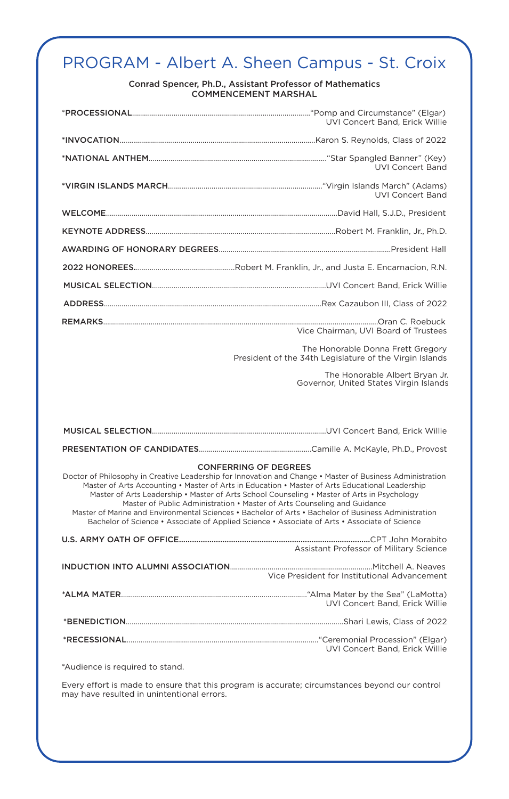# PROGRAM - Albert A. Sheen Campus - St. Croix

Conrad Spencer, Ph.D., Assistant Professor of Mathematics COMMENCEMENT MARSHAL

|                                 | UVI Concert Band, Erick Willie                                                                                                                                                                                                                                                                                                                                                                                                                                                                                                                                                                                                   |
|---------------------------------|----------------------------------------------------------------------------------------------------------------------------------------------------------------------------------------------------------------------------------------------------------------------------------------------------------------------------------------------------------------------------------------------------------------------------------------------------------------------------------------------------------------------------------------------------------------------------------------------------------------------------------|
|                                 |                                                                                                                                                                                                                                                                                                                                                                                                                                                                                                                                                                                                                                  |
|                                 | <b>UVI Concert Band</b>                                                                                                                                                                                                                                                                                                                                                                                                                                                                                                                                                                                                          |
|                                 | <b>UVI Concert Band</b>                                                                                                                                                                                                                                                                                                                                                                                                                                                                                                                                                                                                          |
|                                 |                                                                                                                                                                                                                                                                                                                                                                                                                                                                                                                                                                                                                                  |
|                                 |                                                                                                                                                                                                                                                                                                                                                                                                                                                                                                                                                                                                                                  |
|                                 |                                                                                                                                                                                                                                                                                                                                                                                                                                                                                                                                                                                                                                  |
|                                 |                                                                                                                                                                                                                                                                                                                                                                                                                                                                                                                                                                                                                                  |
|                                 |                                                                                                                                                                                                                                                                                                                                                                                                                                                                                                                                                                                                                                  |
|                                 |                                                                                                                                                                                                                                                                                                                                                                                                                                                                                                                                                                                                                                  |
|                                 | Vice Chairman, UVI Board of Trustees                                                                                                                                                                                                                                                                                                                                                                                                                                                                                                                                                                                             |
|                                 | The Honorable Donna Frett Gregory<br>President of the 34th Legislature of the Virgin Islands                                                                                                                                                                                                                                                                                                                                                                                                                                                                                                                                     |
|                                 | The Honorable Albert Bryan Jr.<br>Governor, United States Virgin Islands                                                                                                                                                                                                                                                                                                                                                                                                                                                                                                                                                         |
|                                 |                                                                                                                                                                                                                                                                                                                                                                                                                                                                                                                                                                                                                                  |
|                                 |                                                                                                                                                                                                                                                                                                                                                                                                                                                                                                                                                                                                                                  |
|                                 |                                                                                                                                                                                                                                                                                                                                                                                                                                                                                                                                                                                                                                  |
|                                 | <b>CONFERRING OF DEGREES</b><br>Doctor of Philosophy in Creative Leadership for Innovation and Change • Master of Business Administration<br>Master of Arts Accounting • Master of Arts in Education • Master of Arts Educational Leadership<br>Master of Arts Leadership • Master of Arts School Counseling • Master of Arts in Psychology<br>Master of Public Administration • Master of Arts Counseling and Guidance<br>Master of Marine and Environmental Sciences • Bachelor of Arts • Bachelor of Business Administration<br>Bachelor of Science • Associate of Applied Science • Associate of Arts • Associate of Science |
|                                 | Assistant Professor of Military Science                                                                                                                                                                                                                                                                                                                                                                                                                                                                                                                                                                                          |
|                                 | Vice President for Institutional Advancement                                                                                                                                                                                                                                                                                                                                                                                                                                                                                                                                                                                     |
|                                 | UVI Concert Band, Erick Willie                                                                                                                                                                                                                                                                                                                                                                                                                                                                                                                                                                                                   |
|                                 |                                                                                                                                                                                                                                                                                                                                                                                                                                                                                                                                                                                                                                  |
|                                 | UVI Concert Band, Erick Willie                                                                                                                                                                                                                                                                                                                                                                                                                                                                                                                                                                                                   |
| *Audience is required to stand. |                                                                                                                                                                                                                                                                                                                                                                                                                                                                                                                                                                                                                                  |

Every effort is made to ensure that this program is accurate; circumstances beyond our control may have resulted in unintentional errors.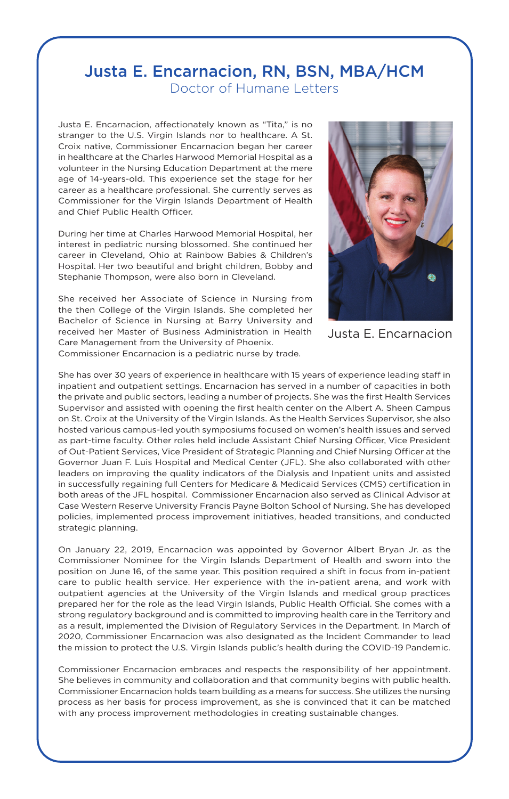### Justa E. Encarnacion, RN, BSN, MBA/HCM Doctor of Humane Letters

Justa E. Encarnacion, affectionately known as "Tita," is no stranger to the U.S. Virgin Islands nor to healthcare. A St. Croix native, Commissioner Encarnacion began her career in healthcare at the Charles Harwood Memorial Hospital as a volunteer in the Nursing Education Department at the mere age of 14-years-old. This experience set the stage for her career as a healthcare professional. She currently serves as Commissioner for the Virgin Islands Department of Health and Chief Public Health Officer.

During her time at Charles Harwood Memorial Hospital, her interest in pediatric nursing blossomed. She continued her career in Cleveland, Ohio at Rainbow Babies & Children's Hospital. Her two beautiful and bright children, Bobby and Stephanie Thompson, were also born in Cleveland.

She received her Associate of Science in Nursing from the then College of the Virgin Islands. She completed her Bachelor of Science in Nursing at Barry University and received her Master of Business Administration in Health Care Management from the University of Phoenix. Commissioner Encarnacion is a pediatric nurse by trade.



```
Justa E. Encarnacion
```
She has over 30 years of experience in healthcare with 15 years of experience leading staff in inpatient and outpatient settings. Encarnacion has served in a number of capacities in both the private and public sectors, leading a number of projects. She was the first Health Services Supervisor and assisted with opening the first health center on the Albert A. Sheen Campus on St. Croix at the University of the Virgin Islands. As the Health Services Supervisor, she also hosted various campus-led youth symposiums focused on women's health issues and served as part-time faculty. Other roles held include Assistant Chief Nursing Officer, Vice President of Out-Patient Services, Vice President of Strategic Planning and Chief Nursing Officer at the Governor Juan F. Luis Hospital and Medical Center (JFL). She also collaborated with other leaders on improving the quality indicators of the Dialysis and Inpatient units and assisted in successfully regaining full Centers for Medicare & Medicaid Services (CMS) certification in both areas of the JFL hospital. Commissioner Encarnacion also served as Clinical Advisor at Case Western Reserve University Francis Payne Bolton School of Nursing. She has developed policies, implemented process improvement initiatives, headed transitions, and conducted strategic planning.

On January 22, 2019, Encarnacion was appointed by Governor Albert Bryan Jr. as the Commissioner Nominee for the Virgin Islands Department of Health and sworn into the position on June 16, of the same year. This position required a shift in focus from in-patient care to public health service. Her experience with the in-patient arena, and work with outpatient agencies at the University of the Virgin Islands and medical group practices prepared her for the role as the lead Virgin Islands, Public Health Official. She comes with a strong regulatory background and is committed to improving health care in the Territory and as a result, implemented the Division of Regulatory Services in the Department. In March of 2020, Commissioner Encarnacion was also designated as the Incident Commander to lead the mission to protect the U.S. Virgin Islands public's health during the COVID-19 Pandemic.

Commissioner Encarnacion embraces and respects the responsibility of her appointment. She believes in community and collaboration and that community begins with public health. Commissioner Encarnacion holds team building as a means for success. She utilizes the nursing process as her basis for process improvement, as she is convinced that it can be matched with any process improvement methodologies in creating sustainable changes.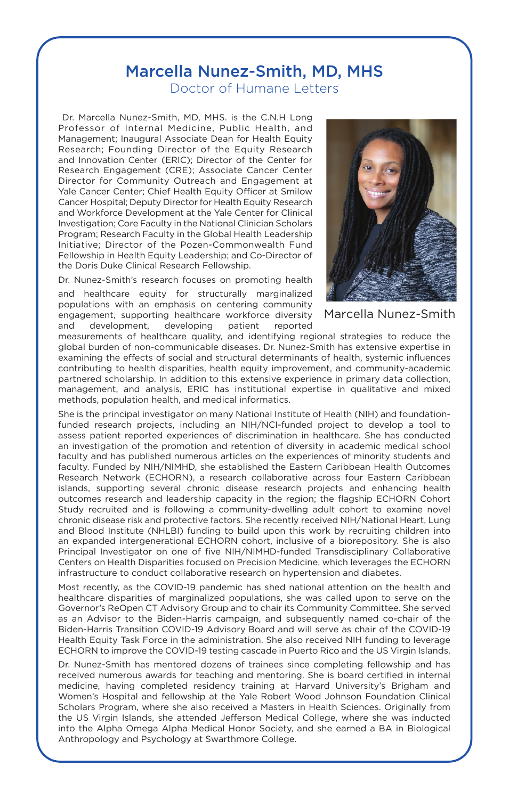### Marcella Nunez-Smith, MD, MHS

Doctor of Humane Letters

Dr. Marcella Nunez-Smith, MD, MHS. is the C.N.H Long Professor of Internal Medicine, Public Health, and Management; Inaugural Associate Dean for Health Equity Research; Founding Director of the Equity Research and Innovation Center (ERIC); Director of the Center for Research Engagement (CRE); Associate Cancer Center Director for Community Outreach and Engagement at Yale Cancer Center; Chief Health Equity Officer at Smilow Cancer Hospital; Deputy Director for Health Equity Research and Workforce Development at the Yale Center for Clinical Investigation; Core Faculty in the National Clinician Scholars Program; Research Faculty in the Global Health Leadership Initiative; Director of the Pozen-Commonwealth Fund Fellowship in Health Equity Leadership; and Co-Director of the Doris Duke Clinical Research Fellowship.

Dr. Nunez-Smith's research focuses on promoting health

and healthcare equity for structurally marginalized populations with an emphasis on centering community engagement, supporting healthcare workforce diversity and development, developing patient reported



Marcella Nunez-Smith

measurements of healthcare quality, and identifying regional strategies to reduce the global burden of non-communicable diseases. Dr. Nunez-Smith has extensive expertise in examining the effects of social and structural determinants of health, systemic influences contributing to health disparities, health equity improvement, and community-academic partnered scholarship. In addition to this extensive experience in primary data collection, management, and analysis, ERIC has institutional expertise in qualitative and mixed methods, population health, and medical informatics.

She is the principal investigator on many National Institute of Health (NIH) and foundationfunded research projects, including an NIH/NCI-funded project to develop a tool to assess patient reported experiences of discrimination in healthcare. She has conducted an investigation of the promotion and retention of diversity in academic medical school faculty and has published numerous articles on the experiences of minority students and faculty. Funded by NIH/NIMHD, she established the Eastern Caribbean Health Outcomes Research Network (ECHORN), a research collaborative across four Eastern Caribbean islands, supporting several chronic disease research projects and enhancing health outcomes research and leadership capacity in the region; the flagship ECHORN Cohort Study recruited and is following a community-dwelling adult cohort to examine novel chronic disease risk and protective factors. She recently received NIH/National Heart, Lung and Blood Institute (NHLBI) funding to build upon this work by recruiting children into an expanded intergenerational ECHORN cohort, inclusive of a biorepository. She is also Principal Investigator on one of five NIH/NIMHD-funded Transdisciplinary Collaborative Centers on Health Disparities focused on Precision Medicine, which leverages the ECHORN infrastructure to conduct collaborative research on hypertension and diabetes.

Most recently, as the COVID-19 pandemic has shed national attention on the health and healthcare disparities of marginalized populations, she was called upon to serve on the Governor's ReOpen CT Advisory Group and to chair its Community Committee. She served as an Advisor to the Biden-Harris campaign, and subsequently named co-chair of the Biden-Harris Transition COVID-19 Advisory Board and will serve as chair of the COVID-19 Health Equity Task Force in the administration. She also received NIH funding to leverage ECHORN to improve the COVID-19 testing cascade in Puerto Rico and the US Virgin Islands.

Dr. Nunez-Smith has mentored dozens of trainees since completing fellowship and has received numerous awards for teaching and mentoring. She is board certified in internal medicine, having completed residency training at Harvard University's Brigham and Women's Hospital and fellowship at the Yale Robert Wood Johnson Foundation Clinical Scholars Program, where she also received a Masters in Health Sciences. Originally from the US Virgin Islands, she attended Jefferson Medical College, where she was inducted into the Alpha Omega Alpha Medical Honor Society, and she earned a BA in Biological Anthropology and Psychology at Swarthmore College.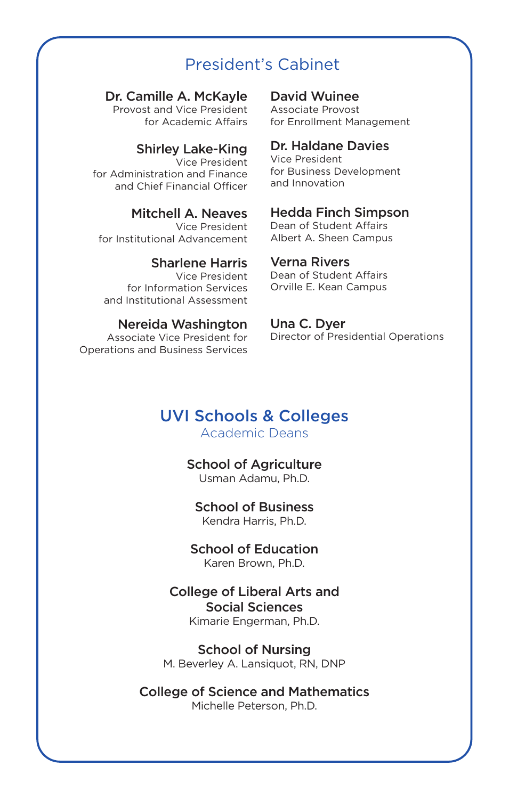### President's Cabinet

#### Dr. Camille A. McKayle

Provost and Vice President for Academic Affairs

#### Shirley Lake-King

Vice President for Administration and Finance and Chief Financial Officer

#### Mitchell A. Neaves

Vice President for Institutional Advancement

#### Sharlene Harris

Vice President for Information Services and Institutional Assessment

#### Nereida Washington

Associate Vice President for Operations and Business Services

#### David Wuinee

Associate Provost for Enrollment Management

#### Dr. Haldane Davies

Vice President for Business Development and Innovation

#### Hedda Finch Simpson

Dean of Student Affairs Albert A. Sheen Campus

#### Verna Rivers

Dean of Student Affairs Orville E. Kean Campus

#### Una C. Dyer

Director of Presidential Operations

### UVI Schools & Colleges

Academic Deans

#### School of Agriculture Usman Adamu, Ph.D.

#### School of Business Kendra Harris, Ph.D.

School of Education Karen Brown, Ph.D.

#### College of Liberal Arts and Social Sciences Kimarie Engerman, Ph.D.

School of Nursing M. Beverley A. Lansiquot, RN, DNP

College of Science and Mathematics Michelle Peterson, Ph.D.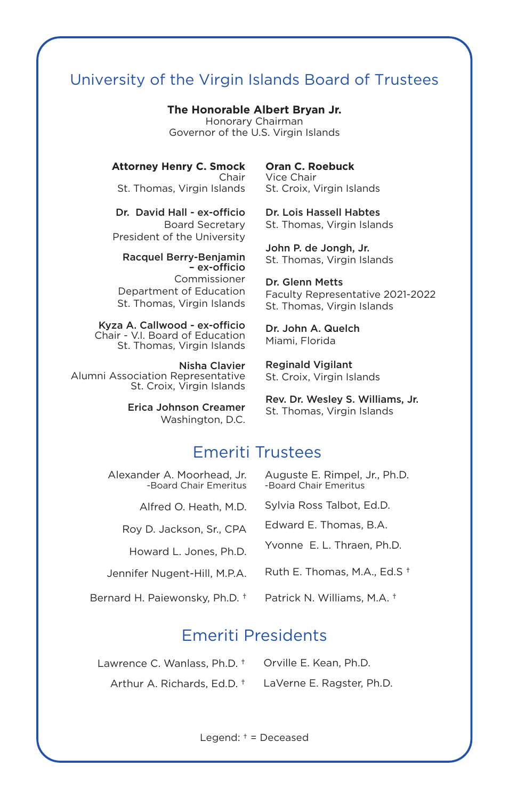### University of the Virgin Islands Board of Trustees

**The Honorable Albert Bryan Jr.**

Honorary Chairman Governor of the U.S. Virgin Islands

**Attorney Henry C. Smock** Chair

St. Thomas, Virgin Islands

Dr. David Hall - ex-officio Board Secretary President of the University

Racquel Berry-Benjamin – ex-officio Commissioner Department of Education St. Thomas, Virgin Islands

Kyza A. Callwood - ex-officio Chair - V.I. Board of Education St. Thomas, Virgin Islands

Nisha Clavier Alumni Association Representative St. Croix, Virgin Islands

> Erica Johnson Creamer Washington, D.C.

**Oran C. Roebuck** Vice Chair St. Croix, Virgin Islands

Dr. Lois Hassell Habtes St. Thomas, Virgin Islands

John P. de Jongh, Jr. St. Thomas, Virgin Islands

Dr. Glenn Metts Faculty Representative 2021-2022 St. Thomas, Virgin Islands

Dr. John A. Quelch Miami, Florida

Reginald Vigilant St. Croix, Virgin Islands

Rev. Dr. Wesley S. Williams, Jr. St. Thomas, Virgin Islands

### Emeriti Trustees

Alexander A. Moorhead, Jr. -Board Chair Emeritus

Alfred O. Heath, M.D.

Roy D. Jackson, Sr., CPA

Howard L. Jones, Ph.D.

Jennifer Nugent-Hill, M.P.A.

Bernard H. Paiewonsky, Ph.D. †

Auguste E. Rimpel, Jr., Ph.D. -Board Chair Emeritus

Sylvia Ross Talbot, Ed.D.

Edward E. Thomas, B.A.

Yvonne E. L. Thraen, Ph.D.

Ruth E. Thomas, M.A., Ed.S †

Patrick N. Williams, M.A. †

### Emeriti Presidents

Lawrence C. Wanlass, Ph.D. † Orville E. Kean, Ph.D. Arthur A. Richards, Ed.D. † LaVerne E. Ragster, Ph.D.

Legend: † = Deceased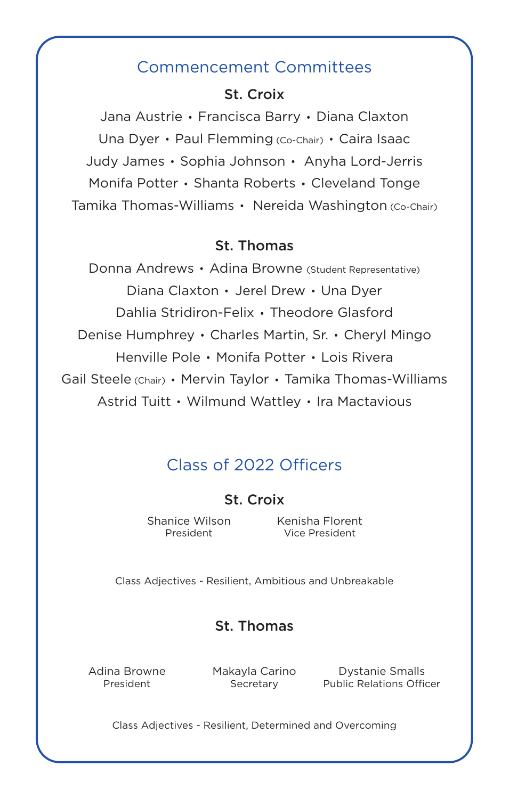### Commencement Committees

### St. Croix

Jana Austrie Francisca Barry Diana Claxton Una Dyer · Paul Flemming (Co-Chair) · Caira Isaac Judy James • Sophia Johnson • Anyha Lord-Jerris Monifa Potter · Shanta Roberts · Cleveland Tonge Tamika Thomas-Williams Nereida Washington (Co-Chair)

### St. Thomas

Donna Andrews • Adina Browne (Student Representative) Diana Claxton · Jerel Drew · Una Dyer Dahlia Stridiron-Felix Theodore Glasford Denise Humphrey · Charles Martin, Sr. · Cheryl Mingo Henville Pole Monifa Potter Lois Rivera Gail Steele (Chair) • Mervin Taylor • Tamika Thomas-Williams Astrid Tuitt Wilmund Wattley Ira Mactavious

### Class of 2022 Officers

St. Croix

Shanice Wilson President

Kenisha Florent Vice President

Class Adjectives - Resilient, Ambitious and Unbreakable

### St. Thomas

Adina Browne President

Makayla Carino Secretary

Dystanie Smalls Public Relations Officer

Class Adjectives - Resilient, Determined and Overcoming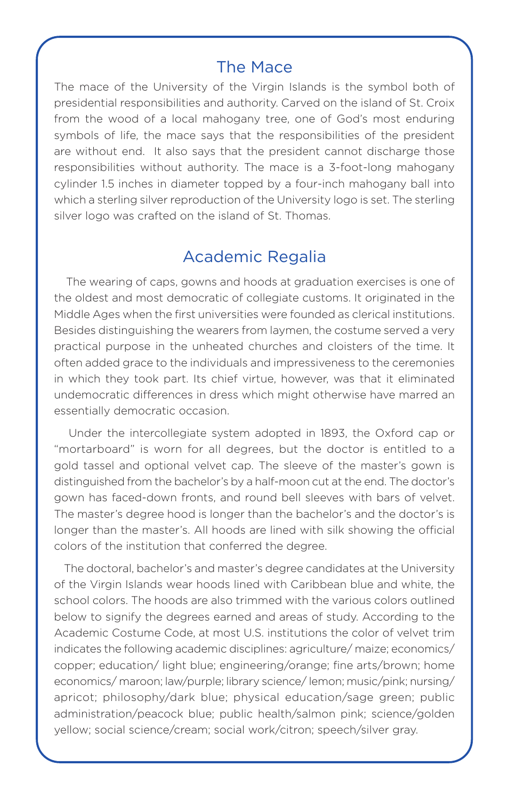### The Mace

The mace of the University of the Virgin Islands is the symbol both of presidential responsibilities and authority. Carved on the island of St. Croix from the wood of a local mahogany tree, one of God's most enduring symbols of life, the mace says that the responsibilities of the president are without end. It also says that the president cannot discharge those responsibilities without authority. The mace is a 3-foot-long mahogany cylinder 1.5 inches in diameter topped by a four-inch mahogany ball into which a sterling silver reproduction of the University logo is set. The sterling silver logo was crafted on the island of St. Thomas.

### Academic Regalia

 The wearing of caps, gowns and hoods at graduation exercises is one of the oldest and most democratic of collegiate customs. It originated in the Middle Ages when the first universities were founded as clerical institutions. Besides distinguishing the wearers from laymen, the costume served a very practical purpose in the unheated churches and cloisters of the time. It often added grace to the individuals and impressiveness to the ceremonies in which they took part. Its chief virtue, however, was that it eliminated undemocratic differences in dress which might otherwise have marred an essentially democratic occasion.

 Under the intercollegiate system adopted in 1893, the Oxford cap or "mortarboard" is worn for all degrees, but the doctor is entitled to a gold tassel and optional velvet cap. The sleeve of the master's gown is distinguished from the bachelor's by a half-moon cut at the end. The doctor's gown has faced-down fronts, and round bell sleeves with bars of velvet. The master's degree hood is longer than the bachelor's and the doctor's is longer than the master's. All hoods are lined with silk showing the official colors of the institution that conferred the degree.

 The doctoral, bachelor's and master's degree candidates at the University of the Virgin Islands wear hoods lined with Caribbean blue and white, the school colors. The hoods are also trimmed with the various colors outlined below to signify the degrees earned and areas of study. According to the Academic Costume Code, at most U.S. institutions the color of velvet trim indicates the following academic disciplines: agriculture/ maize; economics/ copper; education/ light blue; engineering/orange; fine arts/brown; home economics/ maroon; law/purple; library science/ lemon; music/pink; nursing/ apricot; philosophy/dark blue; physical education/sage green; public administration/peacock blue; public health/salmon pink; science/golden yellow; social science/cream; social work/citron; speech/silver gray.